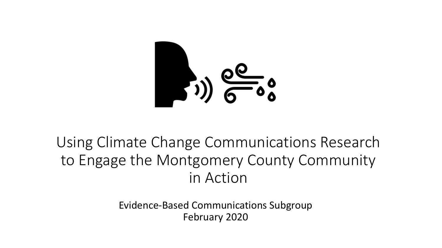

### Using Climate Change Communications Research to Engage the Montgomery County Community in Action

Evidence-Based Communications Subgroup February 2020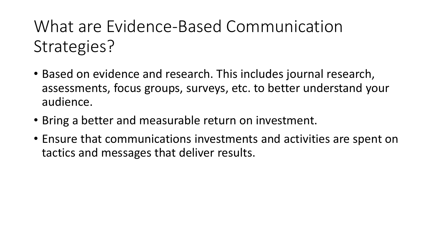What are Evidence-Based Communication Strategies?

- Based on evidence and research. This includes journal research, assessments, focus groups, surveys, etc. to better understand your audience.
- Bring a better and measurable return on investment.
- Ensure that communications investments and activities are spent on tactics and messages that deliver results.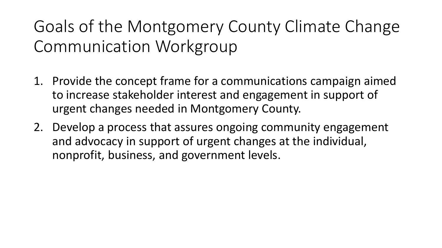Goals of the Montgomery County Climate Change Communication Workgroup

- 1. Provide the concept frame for a communications campaign aimed to increase stakeholder interest and engagement in support of urgent changes needed in Montgomery County.
- 2. Develop a process that assures ongoing community engagement and advocacy in support of urgent changes at the individual, nonprofit, business, and government levels.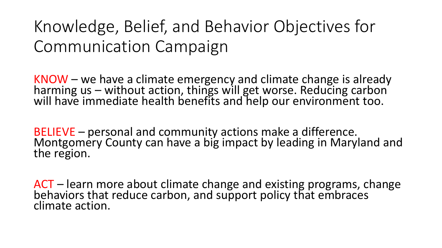## Knowledge, Belief, and Behavior Objectives for Communication Campaign

KNOW – we have a climate emergency and climate change is already harming us – without action, things will get worse. Reducing carbon will have immediate health benefits and help our environment too.

BELIEVE – personal and community actions make a difference. Montgomery County can have a big impact by leading in Maryland and the region.

ACT – learn more about climate change and existing programs, change behaviors that reduce carbon, and support policy that embraces climate action.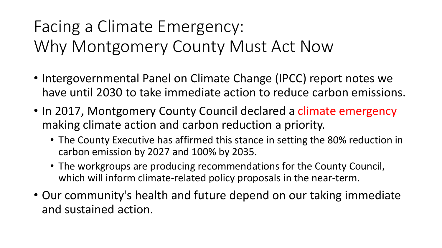# Facing a Climate Emergency: Why Montgomery County Must Act Now

- Intergovernmental Panel on Climate Change (IPCC) report notes we have until 2030 to take immediate action to reduce carbon emissions.
- In 2017, Montgomery County Council declared a climate emergency making climate action and carbon reduction a priority.
	- The County Executive has affirmed this stance in setting the 80% reduction in carbon emission by 2027 and 100% by 2035.
	- The workgroups are producing recommendations for the County Council, which will inform climate-related policy proposals in the near-term.
- Our community's health and future depend on our taking immediate and sustained action.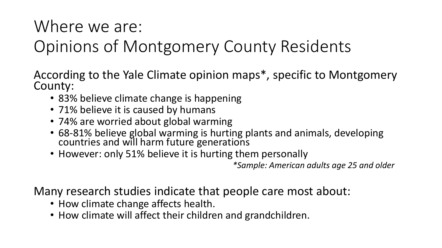### Where we are:

## Opinions of Montgomery County Residents

According to the Yale Climate opinion maps\*, specific to Montgomery County:

- 83% believe climate change is happening
- 71% believe it is caused by humans
- 74% are worried about global warming
- 68-81% believe global warming is hurting plants and animals, developing countries and will harm future generations
- However: only 51% believe it is hurting them personally

*\*Sample: American adults age 25 and older*

Many research studies indicate that people care most about:

- How climate change affects health.
- How climate will affect their children and grandchildren.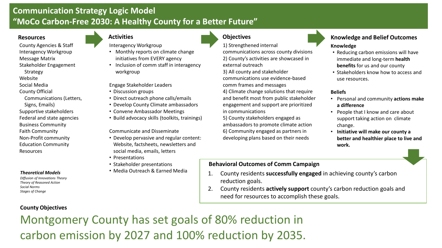### **Communication Strategy Logic Model "MoCo Carbon-Free 2030: A Healthy County for a Better Future"**

Interagency Workgroup

workgroup

• Discussion groups

• Monthly reports on climate change initiatives from EVERY agency • Inclusion of comm staff in interagency

• Direct outreach phone calls/emails

County Agencies & Staff Interagency Workgroup Message Matrix Stakeholder Engagement Strategy Website

Social Media County Official

- 
- Communications (Letters,
- Signs, Emails) Supportive stakeholders Federal and state agencies Business Community
- Faith Community Non-Profit community
- Education Community Resources

#### *Theoretical Models*

*Diffusion of Innovations Theory Theory of Reasoned Action Social Norms Stages of Change*

**County Objectives**

#### • Develop County Climate ambassadors • Convene Ambassador Meetings • Build advocacy skills (toolkits, trainings)

Communicate and Disseminate

Engage Stakeholder Leaders

- Develop pervasive and regular content: Website, factsheets, newsletters and social media, emails, letters
- Presentations
- Stakeholder presentations
- Media Outreach & Earned Media

### **Resources Activities Activities Activities Activities Objectives**

1) Strengthened internal

communications across county divisions 2) County's activities are showcased in external outreach

3) All county and stakeholder communications use evidence-based comm frames and messages

4) Climate change solutions that require and benefit most from public stakeholder engagement and support are prioritized in communications

5) County stakeholders engaged as ambassadors to promote climate action 6) Community engaged as partners in developing plans based on their needs

### **Knowledge and Belief Outcomes Knowledge**

- Reducing carbon emissions will have immediate and long-term **health benefits** for us and our county
- Stakeholders know how to access and use resources.

#### **Beliefs**

- Personal and community **actions make a difference**
- People that I know and care about support taking action on climate change.
- **Initiative will make our county a better and healthier place to live and work.**

### **Behavioral Outcomes of Comm Campaign**

- 1. County residents **successfully engaged** in achieving county's carbon reduction goals.
- 2. County residents **actively support** county's carbon reduction goals and need for resources to accomplish these goals.

Montgomery County has set goals of 80% reduction in carbon emission by 2027 and 100% reduction by 2035.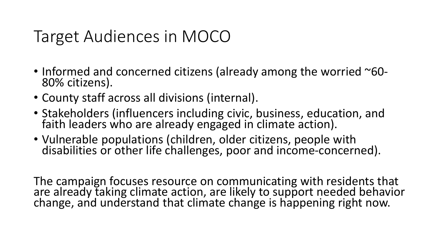### Target Audiences in MOCO

- Informed and concerned citizens (already among the worried ~60-80% citizens).
- County staff across all divisions (internal).
- Stakeholders (influencers including civic, business, education, and faith leaders who are already engaged in climate action).
- Vulnerable populations (children, older citizens, people with disabilities or other life challenges, poor and income-concerned).

The campaign focuses resource on communicating with residents that are already taking climate action, are likely to support needed behavior change, and understand that climate change is happening right now.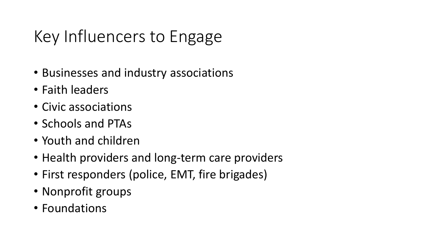# Key Influencers to Engage

- Businesses and industry associations
- Faith leaders
- Civic associations
- Schools and PTAs
- Youth and children
- Health providers and long-term care providers
- First responders (police, EMT, fire brigades)
- Nonprofit groups
- Foundations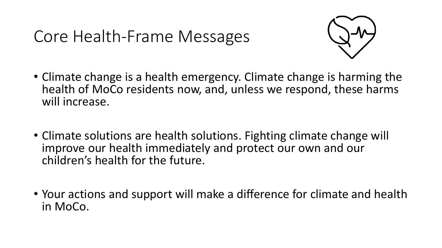### Core Health-Frame Messages



- Climate change is a health emergency. Climate change is harming the health of MoCo residents now, and, unless we respond, these harms will increase.
- Climate solutions are health solutions. Fighting climate change will improve our health immediately and protect our own and our children's health for the future.
- Your actions and support will make a difference for climate and health in MoCo.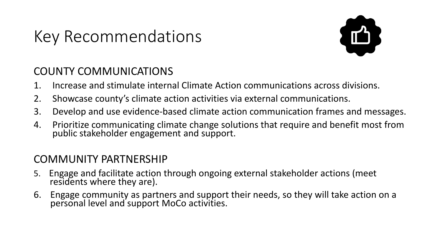### Key Recommendations



### COUNTY COMMUNICATIONS

- 1. Increase and stimulate internal Climate Action communications across divisions.
- 2. Showcase county's climate action activities via external communications.
- 3. Develop and use evidence-based climate action communication frames and messages.
- 4. Prioritize communicating climate change solutions that require and benefit most from public stakeholder engagement and support.

### COMMUNITY PARTNERSHIP

- 5. Engage and facilitate action through ongoing external stakeholder actions (meet residents where they are).
- 6. Engage community as partners and support their needs, so they will take action on a personal level and support MoCo activities.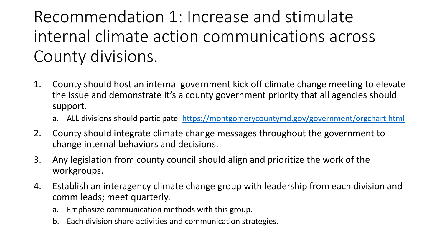## Recommendation 1: Increase and stimulate internal climate action communications across County divisions.

- 1. County should host an internal government kick off climate change meeting to elevate the issue and demonstrate it's a county government priority that all agencies should support.
	- a. ALL divisions should participate. <https://montgomerycountymd.gov/government/orgchart.html>
- 2. County should integrate climate change messages throughout the government to change internal behaviors and decisions.
- 3. Any legislation from county council should align and prioritize the work of the workgroups.
- 4. Establish an interagency climate change group with leadership from each division and comm leads; meet quarterly.
	- a. Emphasize communication methods with this group.
	- b. Each division share activities and communication strategies.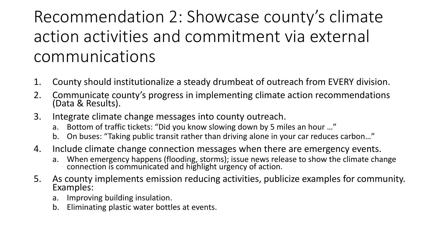## Recommendation 2: Showcase county's climate action activities and commitment via external communications

- 1. County should institutionalize a steady drumbeat of outreach from EVERY division.
- 2. Communicate county's progress in implementing climate action recommendations (Data & Results).
- 3. Integrate climate change messages into county outreach.
	- a. Bottom of traffic tickets: "Did you know slowing down by 5 miles an hour …"
	- b. On buses: "Taking public transit rather than driving alone in your car reduces carbon…"
- 4. Include climate change connection messages when there are emergency events.
	- a. When emergency happens (flooding, storms); issue news release to show the climate change connection is communicated and highlight urgency of action.
- 5. As county implements emission reducing activities, publicize examples for community. Examples:
	- a. Improving building insulation.
	- b. Eliminating plastic water bottles at events.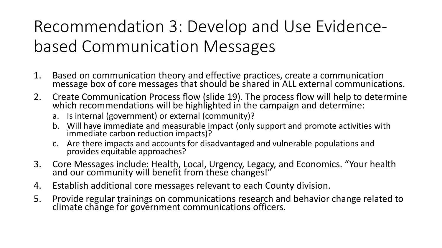# Recommendation 3: Develop and Use Evidencebased Communication Messages

- 1. Based on communication theory and effective practices, create a communication message box of core messages that should be shared in ALL external communications.
- 2. Create Communication Process flow (slide 19). The process flow will help to determine which recommendations will be highlighted in the campaign and determine:
	- a. Is internal (government) or external (community)?
	- b. Will have immediate and measurable impact (only support and promote activities with immediate carbon reduction impacts)?
	- c. Are there impacts and accounts for disadvantaged and vulnerable populations and provides equitable approaches?
- 3. Core Messages include: Health, Local, Urgency, Legacy, and Economics. "Your health and our community will benefit from these changes!"
- 4. Establish additional core messages relevant to each County division.
- 5. Provide regular trainings on communications research and behavior change related to climate change for government communications officers.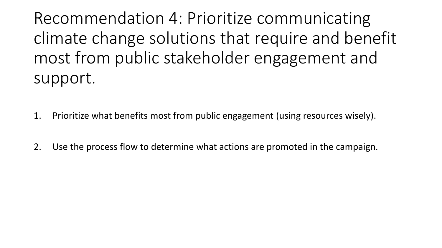Recommendation 4: Prioritize communicating climate change solutions that require and benefit most from public stakeholder engagement and support.

- 1. Prioritize what benefits most from public engagement (using resources wisely).
- 2. Use the process flow to determine what actions are promoted in the campaign.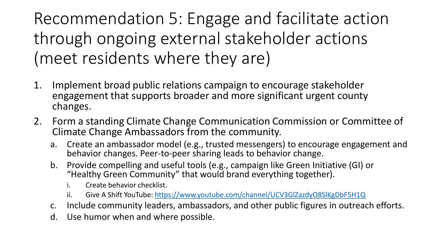Recommendation 5: Engage and facilitate action through ongoing external stakeholder actions (meet residents where they are)

- 1. Implement broad public relations campaign to encourage stakeholder engagement that supports broader and more significant urgent county changes.
- 2. Form a standing Climate Change Communication Commission or Committee of Climate Change Ambassadors from the community.
	- a. Create an ambassador model (e.g., trusted messengers) to encourage engagement and behavior changes. Peer-to-peer sharing leads to behavior change.
	- b. Provide compelling and useful tools (e.g., campaign like Green Initiative (GI) or "Healthy Green Community" that would brand everything together).
		- i. Create behavior checklist.
		- ii. Give A Shift YouTube: [https://www.youtube.com/channel/UCV3GlZazdyO8SlKgDbF5H1Q](https://www.youtube.com/channel/UCV3GlZazdyO8SlKgDbF5H1Q?view_as=subscriber)
	- c. Include community leaders, ambassadors, and other public figures in outreach efforts.
	- d. Use humor when and where possible.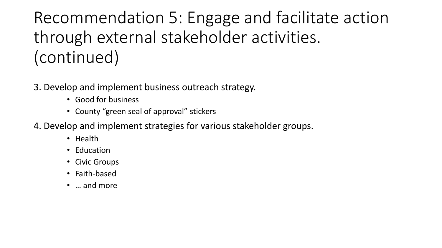# Recommendation 5: Engage and facilitate action through external stakeholder activities. (continued)

- 3. Develop and implement business outreach strategy.
	- Good for business
	- County "green seal of approval" stickers
- 4. Develop and implement strategies for various stakeholder groups.
	- Health
	- Education
	- Civic Groups
	- Faith-based
	- … and more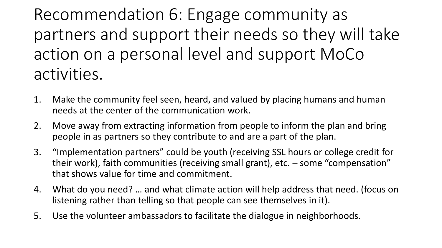Recommendation 6: Engage community as partners and support their needs so they will take action on a personal level and support MoCo activities.

- 1. Make the community feel seen, heard, and valued by placing humans and human needs at the center of the communication work.
- 2. Move away from extracting information from people to inform the plan and bring people in as partners so they contribute to and are a part of the plan.
- 3. "Implementation partners" could be youth (receiving SSL hours or college credit for their work), faith communities (receiving small grant), etc. – some "compensation" that shows value for time and commitment.
- 4. What do you need? … and what climate action will help address that need. (focus on listening rather than telling so that people can see themselves in it).
- 5. Use the volunteer ambassadors to facilitate the dialogue in neighborhoods.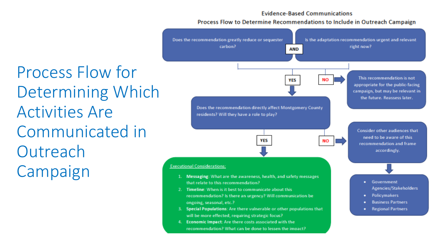#### **Evidence-Based Communications**

#### Process Flow to Determine Recommendations to Include in Outreach Campaign

Process Flow for Determining Which Activities Are Communicated in **Outreach** Campaign

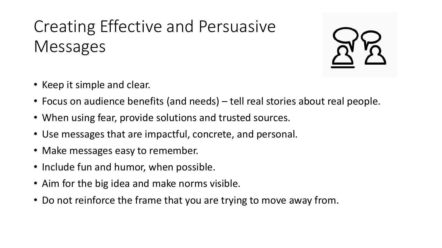# Creating Effective and Persuasive Messages



- Focus on audience benefits (and needs) tell real stories about real people.
- When using fear, provide solutions and trusted sources.
- Use messages that are impactful, concrete, and personal.
- Make messages easy to remember.
- Include fun and humor, when possible.
- Aim for the big idea and make norms visible.
- Do not reinforce the frame that you are trying to move away from.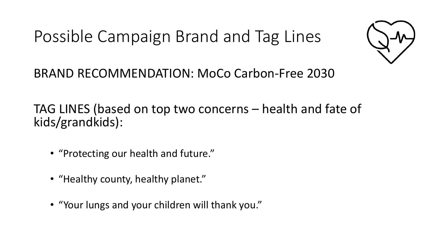Possible Campaign Brand and Tag Lines



BRAND RECOMMENDATION: MoCo Carbon-Free 2030

TAG LINES (based on top two concerns – health and fate of kids/grandkids):

- "Protecting our health and future."
- "Healthy county, healthy planet."
- "Your lungs and your children will thank you."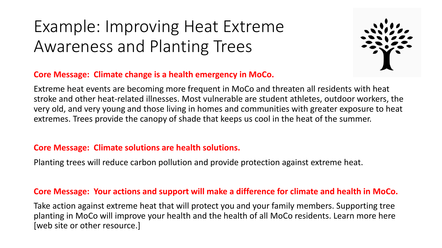## Example: Improving Heat Extreme Awareness and Planting Trees



### **Core Message: Climate change is a health emergency in MoCo.**

Extreme heat events are becoming more frequent in MoCo and threaten all residents with heat stroke and other heat-related illnesses. Most vulnerable are student athletes, outdoor workers, the very old, and very young and those living in homes and communities with greater exposure to heat extremes. Trees provide the canopy of shade that keeps us cool in the heat of the summer.

### **Core Message: Climate solutions are health solutions.**

Planting trees will reduce carbon pollution and provide protection against extreme heat.

### **Core Message: Your actions and support will make a difference for climate and health in MoCo.**

Take action against extreme heat that will protect you and your family members. Supporting tree planting in MoCo will improve your health and the health of all MoCo residents. Learn more here [web site or other resource.]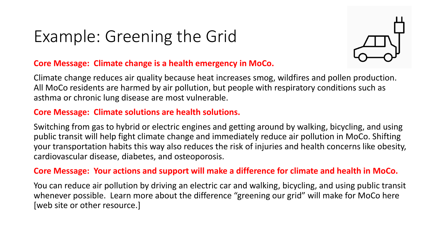### Example: Greening the Grid



### **Core Message: Climate change is a health emergency in MoCo.**

Climate change reduces air quality because heat increases smog, wildfires and pollen production. All MoCo residents are harmed by air pollution, but people with respiratory conditions such as asthma or chronic lung disease are most vulnerable.

### **Core Message: Climate solutions are health solutions.**

Switching from gas to hybrid or electric engines and getting around by walking, bicycling, and using public transit will help fight climate change and immediately reduce air pollution in MoCo. Shifting your transportation habits this way also reduces the risk of injuries and health concerns like obesity, cardiovascular disease, diabetes, and osteoporosis.

### **Core Message: Your actions and support will make a difference for climate and health in MoCo.**

You can reduce air pollution by driving an electric car and walking, bicycling, and using public transit whenever possible. Learn more about the difference "greening our grid" will make for MoCo here [web site or other resource.]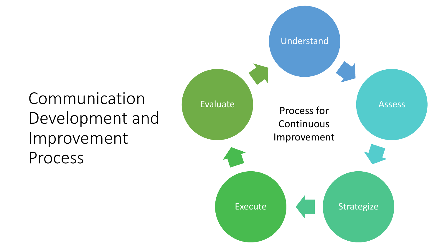## Communication Development and Improvement Process